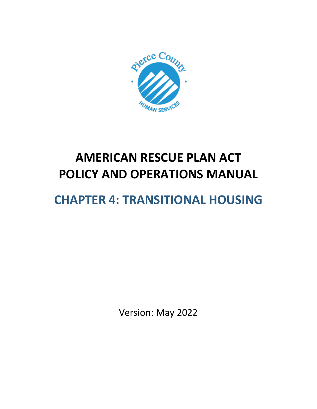

# **AMERICAN RESCUE PLAN ACT POLICY AND OPERATIONS MANUAL**

# **CHAPTER 4: TRANSITIONAL HOUSING**

Version: May 2022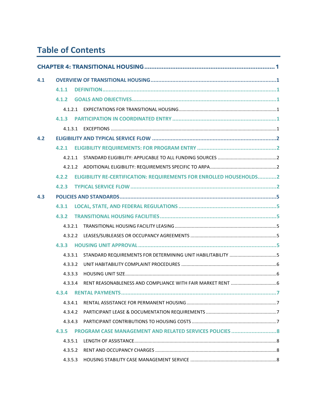# **Table of Contents**

| 4.1 |         |  |                                                                     |  |
|-----|---------|--|---------------------------------------------------------------------|--|
|     | 4.1.1   |  |                                                                     |  |
|     | 4.1.2   |  |                                                                     |  |
|     | 4.1.2.1 |  |                                                                     |  |
|     |         |  |                                                                     |  |
|     | 4.1.3.1 |  |                                                                     |  |
| 4.2 |         |  |                                                                     |  |
|     | 4.2.1   |  |                                                                     |  |
|     | 4.2.1.1 |  |                                                                     |  |
|     |         |  |                                                                     |  |
|     | 4.2.2   |  | ELIGIBILITY RE-CERTIFICATION: REQUIREMENTS FOR ENROLLED HOUSEHOLDS2 |  |
|     | 4.2.3   |  |                                                                     |  |
| 4.3 |         |  |                                                                     |  |
|     | 4.3.1   |  |                                                                     |  |
|     | 4.3.2   |  |                                                                     |  |
|     | 4.3.2.1 |  |                                                                     |  |
|     | 4.3.2.2 |  |                                                                     |  |
|     | 4.3.3   |  |                                                                     |  |
|     | 4.3.3.1 |  |                                                                     |  |
|     | 4.3.3.2 |  |                                                                     |  |
|     | 4.3.3.3 |  |                                                                     |  |
|     | 4.3.3.4 |  |                                                                     |  |
|     |         |  |                                                                     |  |
|     | 4.3.4.1 |  |                                                                     |  |
|     | 4.3.4.2 |  |                                                                     |  |
|     | 4.3.4.3 |  |                                                                     |  |
|     | 4.3.5   |  |                                                                     |  |
|     | 4.3.5.1 |  |                                                                     |  |
|     | 4.3.5.2 |  |                                                                     |  |
|     | 4.3.5.3 |  |                                                                     |  |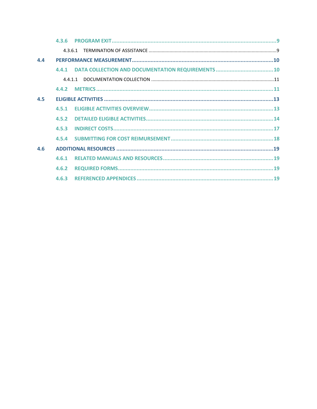|                                  | 4.3.6 |  |
|----------------------------------|-------|--|
|                                  | 4361  |  |
| $\mathbf{A}$ . $\mathbf{\Delta}$ |       |  |
|                                  | 4.4.1 |  |
|                                  |       |  |
|                                  | 4.4.2 |  |
| 4.5                              |       |  |
|                                  | 4.5.1 |  |
|                                  | 4.5.2 |  |
|                                  | 4.5.3 |  |
|                                  |       |  |
| 4.6                              |       |  |
|                                  | 4.6.1 |  |
|                                  | 4.6.2 |  |
|                                  |       |  |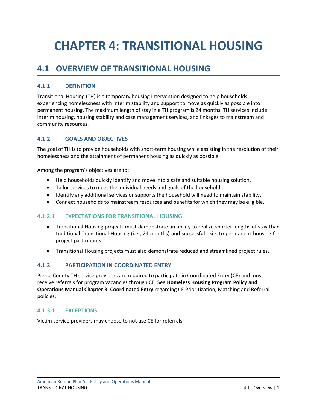# <span id="page-3-0"></span>**CHAPTER 4: TRANSITIONAL HOUSING**

# <span id="page-3-1"></span>**4.1 OVERVIEW OF TRANSITIONAL HOUSING**

# <span id="page-3-2"></span>**4.1.1 DEFINITION**

Transitional Housing (TH) is a temporary housing intervention designed to help households experiencing homelessness with interim stability and support to move as quickly as possible into permanent housing. The maximum length of stay in a TH program is 24 months. TH services include interim housing, housing stability and case management services, and linkages to mainstream and community resources.

## <span id="page-3-3"></span>**4.1.2 GOALS AND OBJECTIVES**

The goal of TH is to provide households with short-term housing while assisting in the resolution of their homelessness and the attainment of permanent housing as quickly as possible.

Among the program's objectives are to:

- Help households quickly identify and move into a safe and suitable housing solution.
- Tailor services to meet the individual needs and goals of the household.
- Identify any additional services or supports the household will need to maintain stability.
- Connect households to mainstream resources and benefits for which they may be eligible.

#### <span id="page-3-4"></span>**4.1.2.1 EXPECTATIONS FOR TRANSITIONAL HOUSING**

- Transitional Housing projects must demonstrate an ability to realize shorter lengths of stay than traditional Transitional Housing (i.e., 24 months) and successful exits to permanent housing for project participants.
- Transitional Housing projects must also demonstrate reduced and streamlined project rules.

#### <span id="page-3-5"></span>**4.1.3 PARTICIPATION IN COORDINATED ENTRY**

Pierce County TH service providers are required to participate in Coordinated Entry (CE) and must receive referrals for program vacancies through CE. See **Homeless Housing Program Policy and Operations Manual Chapter 3: Coordinated Entry** regarding CE Prioritization, Matching and Referral policies.

#### <span id="page-3-6"></span>**4.1.3.1 EXCEPTIONS**

Victim service providers may choose to not use CE for referrals.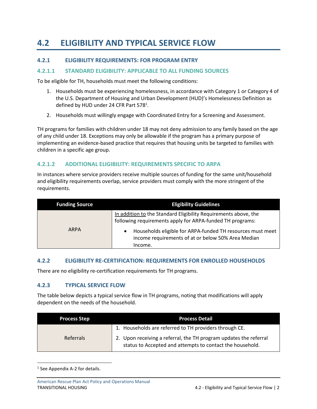# <span id="page-4-0"></span>**4.2 ELIGIBILITY AND TYPICAL SERVICE FLOW**

## <span id="page-4-1"></span>**4.2.1 ELIGIBILITY REQUIREMENTS: FOR PROGRAM ENTRY**

#### <span id="page-4-2"></span>**4.2.1.1 STANDARD ELIGIBILITY: APPLICABLE TO ALL FUNDING SOURCES**

To be eligible for TH, households must meet the following conditions:

- 1. Households must be experiencing homelessness, in accordance with Category 1 or Category 4 of the U.S. Department of Housing and Urban Development (HUD)'s Homelessness Definition as defined by HUD under 24 CFR Part 578<sup>1</sup>.
- 2. Households must willingly engage with Coordinated Entry for a Screening and Assessment.

TH programs for families with children under 18 may not deny admission to any family based on the age of any child under 18. Exceptions may only be allowable if the program has a primary purpose of implementing an evidence-based practice that requires that housing units be targeted to families with children in a specific age group.

#### <span id="page-4-3"></span>**4.2.1.2 ADDITIONAL ELIGIBILITY: REQUIREMENTS SPECIFIC TO ARPA**

In instances where service providers receive multiple sources of funding for the same unit/household and eligibility requirements overlap, service providers must comply with the more stringent of the requirements.

| <b>Funding Source</b> | <b>Eligibility Guidelines</b>                                                                                                |
|-----------------------|------------------------------------------------------------------------------------------------------------------------------|
|                       | In addition to the Standard Eligibility Requirements above, the<br>following requirements apply for ARPA-funded TH programs: |
| <b>ARPA</b>           | Households eligible for ARPA-funded TH resources must meet<br>income requirements of at or below 50% Area Median<br>Income.  |

#### <span id="page-4-4"></span>**4.2.2 ELIGIBILITY RE-CERTIFICATION: REQUIREMENTS FOR ENROLLED HOUSEHOLDS**

There are no eligibility re-certification requirements for TH programs.

#### <span id="page-4-5"></span>**4.2.3 TYPICAL SERVICE FLOW**

The table below depicts a typical service flow in TH programs, noting that modifications will apply dependent on the needs of the household.

| <b>Process Step</b> | <b>Process Detail</b>                                                                                                          |
|---------------------|--------------------------------------------------------------------------------------------------------------------------------|
|                     | 1. Households are referred to TH providers through CE.                                                                         |
| <b>Referrals</b>    | 2. Upon receiving a referral, the TH program updates the referral<br>status to Accepted and attempts to contact the household. |

<sup>&</sup>lt;sup>1</sup> See Appendix A-2 for details.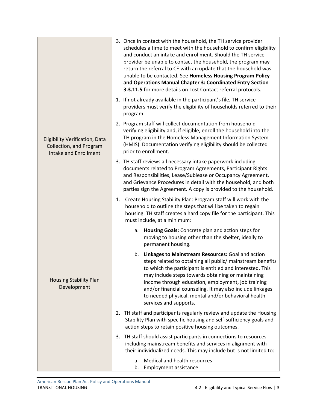|                                                                                                         | 3. Once in contact with the household, the TH service provider<br>schedules a time to meet with the household to confirm eligibility<br>and conduct an intake and enrollment. Should the TH service<br>provider be unable to contact the household, the program may<br>return the referral to CE with an update that the household was<br>unable to be contacted. See Homeless Housing Program Policy<br>and Operations Manual Chapter 3: Coordinated Entry Section<br>3.3.11.5 for more details on Lost Contact referral protocols. |
|---------------------------------------------------------------------------------------------------------|--------------------------------------------------------------------------------------------------------------------------------------------------------------------------------------------------------------------------------------------------------------------------------------------------------------------------------------------------------------------------------------------------------------------------------------------------------------------------------------------------------------------------------------|
|                                                                                                         | 1. If not already available in the participant's file, TH service<br>providers must verify the eligibility of households referred to their<br>program.                                                                                                                                                                                                                                                                                                                                                                               |
| <b>Eligibility Verification, Data</b><br><b>Collection, and Program</b><br><b>Intake and Enrollment</b> | 2. Program staff will collect documentation from household<br>verifying eligibility and, if eligible, enroll the household into the<br>TH program in the Homeless Management Information System<br>(HMIS). Documentation verifying eligibility should be collected<br>prior to enrollment.                                                                                                                                                                                                                                           |
|                                                                                                         | 3. TH staff reviews all necessary intake paperwork including<br>documents related to Program Agreements, Participant Rights<br>and Responsibilities, Lease/Sublease or Occupancy Agreement,<br>and Grievance Procedures in detail with the household, and both<br>parties sign the Agreement. A copy is provided to the household.                                                                                                                                                                                                   |
|                                                                                                         | Create Housing Stability Plan: Program staff will work with the<br>1.<br>household to outline the steps that will be taken to regain<br>housing. TH staff creates a hard copy file for the participant. This<br>must include, at a minimum:                                                                                                                                                                                                                                                                                          |
|                                                                                                         | Housing Goals: Concrete plan and action steps for<br>a.<br>moving to housing other than the shelter, ideally to<br>permanent housing.                                                                                                                                                                                                                                                                                                                                                                                                |
| <b>Housing Stability Plan</b><br>Development                                                            | Linkages to Mainstream Resources: Goal and action<br>b.<br>steps related to obtaining all public/ mainstream benefits<br>to which the participant is entitled and interested. This<br>may include steps towards obtaining or maintaining<br>income through education, employment, job training<br>and/or financial counseling. It may also include linkages<br>to needed physical, mental and/or behavioral health<br>services and supports.                                                                                         |
|                                                                                                         | 2. TH staff and participants regularly review and update the Housing<br>Stability Plan with specific housing and self-sufficiency goals and<br>action steps to retain positive housing outcomes.                                                                                                                                                                                                                                                                                                                                     |
|                                                                                                         | 3. TH staff should assist participants in connections to resources<br>including mainstream benefits and services in alignment with<br>their individualized needs. This may include but is not limited to:                                                                                                                                                                                                                                                                                                                            |
|                                                                                                         | Medical and health resources<br>a.<br>b.<br><b>Employment assistance</b>                                                                                                                                                                                                                                                                                                                                                                                                                                                             |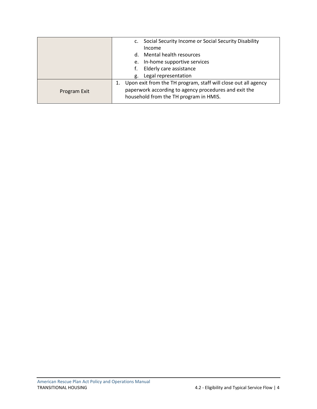|              | Social Security Income or Social Security Disability           |
|--------------|----------------------------------------------------------------|
|              | Income                                                         |
|              | Mental health resources<br>d.                                  |
|              | In-home supportive services<br>e.                              |
|              | Elderly care assistance                                        |
|              | Legal representation<br>g.                                     |
|              | Upon exit from the TH program, staff will close out all agency |
| Program Exit | paperwork according to agency procedures and exit the          |
|              | household from the TH program in HMIS.                         |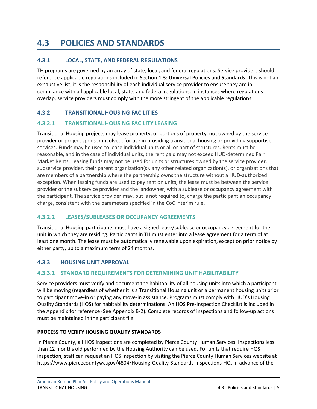# <span id="page-7-0"></span>**4.3 POLICIES AND STANDARDS**

# <span id="page-7-1"></span>**4.3.1 LOCAL, STATE, AND FEDERAL REGULATIONS**

TH programs are governed by an array of state, local, and federal regulations. Service providers should reference applicable regulations included in **Section 1.3: Universal Policies and Standards**. This is not an exhaustive list; it is the responsibility of each individual service provider to ensure they are in compliance with all applicable local, state, and federal regulations. In instances where regulations overlap, service providers must comply with the more stringent of the applicable regulations.

# <span id="page-7-2"></span>**4.3.2 TRANSITIONAL HOUSING FACILITIES**

# <span id="page-7-3"></span>**4.3.2.1 TRANSITIONAL HOUSING FACILITY LEASING**

Transitional Housing projects may lease property, or portions of property, not owned by the service provider or project sponsor involved, for use in providing transitional housing or providing supportive services. Funds may be used to lease individual units or all or part of structures. Rents must be reasonable, and in the case of individual units, the rent paid may not exceed HUD-determined Fair Market Rents. Leasing funds may not be used for units or structures owned by the service provider, subservice provider, their parent organization(s), any other related organization(s), or organizations that are members of a partnership where the partnership owns the structure without a HUD-authorized exception. When leasing funds are used to pay rent on units, the lease must be between the service provider or the subservice provider and the landowner, with a sublease or occupancy agreement with the participant. The service provider may, but is not required to, charge the participant an occupancy charge, consistent with the parameters specified in the CoC interim rule.

# <span id="page-7-4"></span>**4.3.2.2 LEASES/SUBLEASES OR OCCUPANCY AGREEMENTS**

Transitional Housing participants must have a signed lease/sublease or occupancy agreement for the unit in which they are residing. Participants in TH must enter into a lease agreement for a term of at least one month. The lease must be automatically renewable upon expiration, except on prior notice by either party, up to a maximum term of 24 months.

# <span id="page-7-5"></span>**4.3.3 HOUSING UNIT APPROVAL**

# <span id="page-7-6"></span>**4.3.3.1 STANDARD REQUIREMENTS FOR DETERMINING UNIT HABILITABILITY**

Service providers must verify and document the habitability of all housing units into which a participant will be moving (regardless of whether it is a Transitional Housing unit or a permanent housing unit) prior to participant move-in or paying any move-in assistance. Programs must comply with HUD's Housing Quality Standards (HQS) for habitability determinations. An HQS Pre-Inspection Checklist is included in the Appendix for reference (See Appendix B-2). Complete records of inspections and follow-up actions must be maintained in the participant file.

#### **PROCESS TO VERIFY HOUSING QUALITY STANDARDS**

In Pierce County, all HQS inspections are completed by Pierce County Human Services. Inspections less than 12 months old performed by the Housing Authority can be used. For units that require HQS inspection, staff can request an HQS inspection by visiting the Pierce County Human Services website at https://www.piercecountywa.gov/4804/Housing-Quality-Standards-Inspections-HQ. In advance of the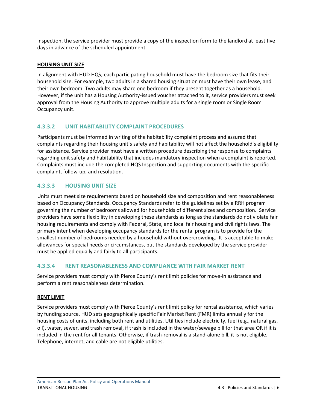Inspection, the service provider must provide a copy of the inspection form to the landlord at least five days in advance of the scheduled appointment.

### **HOUSING UNIT SIZE**

In alignment with HUD HQS, each participating household must have the bedroom size that fits their household size. For example, two adults in a shared housing situation must have their own lease, and their own bedroom. Two adults may share one bedroom if they present together as a household. However, if the unit has a Housing Authority-issued voucher attached to it, service providers must seek approval from the Housing Authority to approve multiple adults for a single room or Single Room Occupancy unit.

# <span id="page-8-0"></span>**4.3.3.2 UNIT HABITABILITY COMPLAINT PROCEDURES**

Participants must be informed in writing of the habitability complaint process and assured that complaints regarding their housing unit's safety and habitability will not affect the household's eligibility for assistance. Service provider must have a written procedure describing the response to complaints regarding unit safety and habitability that includes mandatory inspection when a complaint is reported. Complaints must include the completed HQS Inspection and supporting documents with the specific complaint, follow-up, and resolution.

# <span id="page-8-1"></span>**4.3.3.3 HOUSING UNIT SIZE**

Units must meet size requirements based on household size and composition and rent reasonableness based on Occupancy Standards. Occupancy Standards refer to the guidelines set by a RRH program governing the number of bedrooms allowed for households of different sizes and composition. Service providers have some flexibility in developing these standards as long as the standards do not violate fair housing requirements and comply with Federal, State, and local fair housing and civil rights laws. The primary intent when developing occupancy standards for the rental program is to provide for the smallest number of bedrooms needed by a household without overcrowding. It is acceptable to make allowances for special needs or circumstances, but the standards developed by the service provider must be applied equally and fairly to all participants.

# <span id="page-8-2"></span>**4.3.3.4 RENT REASONABLENESS AND COMPLIANCE WITH FAIR MARKET RENT**

Service providers must comply with Pierce County's rent limit policies for move-in assistance and perform a rent reasonableness determination.

#### **RENT LIMIT**

Service providers must comply with Pierce County's rent limit policy for rental assistance, which varies by funding source. HUD sets geographically specific Fair Market Rent (FMR) limits annually for the housing costs of units, including both rent and utilities. Utilities include electricity, fuel (e.g., natural gas, oil), water, sewer, and trash removal, if trash is included in the water/sewage bill for that area OR if it is included in the rent for all tenants. Otherwise, if trash-removal is a stand-alone bill, it is not eligible. Telephone, internet, and cable are not eligible utilities.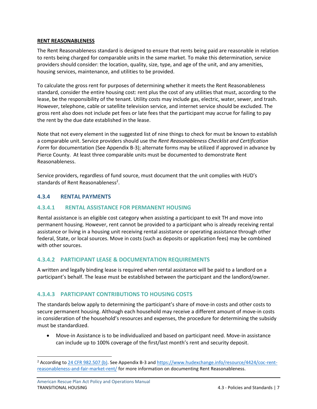#### **RENT REASONABLENESS**

The Rent Reasonableness standard is designed to ensure that rents being paid are reasonable in relation to rents being charged for comparable units in the same market. To make this determination, service providers should consider: the location, quality, size, type, and age of the unit, and any amenities, housing services, maintenance, and utilities to be provided.

To calculate the gross rent for purposes of determining whether it meets the Rent Reasonableness standard, consider the entire housing cost: rent plus the cost of any utilities that must, according to the lease, be the responsibility of the tenant. Utility costs may include gas, electric, water, sewer, and trash. However, telephone, cable or satellite television service, and internet service should be excluded. The gross rent also does not include pet fees or late fees that the participant may accrue for failing to pay the rent by the due date established in the lease.

Note that not every element in the suggested list of nine things to check for must be known to establish a comparable unit. Service providers should use the *Rent Reasonableness Checklist and Certification Form* for documentation (See Appendix B-3); alternate forms may be utilized if approved in advance by Pierce County. At least three comparable units must be documented to demonstrate Rent Reasonableness.

Service providers, regardless of fund source, must document that the unit complies with HUD's standards of Rent Reasonableness<sup>2</sup>.

#### <span id="page-9-0"></span>**4.3.4 RENTAL PAYMENTS**

#### <span id="page-9-1"></span>**4.3.4.1 RENTAL ASSISTANCE FOR PERMANENT HOUSING**

Rental assistance is an eligible cost category when assisting a participant to exit TH and move into permanent housing. However, rent cannot be provided to a participant who is already receiving rental assistance or living in a housing unit receiving rental assistance or operating assistance through other federal, State, or local sources. Move in costs (such as deposits or application fees) may be combined with other sources.

#### <span id="page-9-2"></span>**4.3.4.2 PARTICIPANT LEASE & DOCUMENTATION REQUIREMENTS**

A written and legally binding lease is required when rental assistance will be paid to a landlord on a participant's behalf. The lease must be established between the participant and the landlord/owner.

#### <span id="page-9-3"></span>**4.3.4.3 PARTICIPANT CONTRIBUTIONS TO HOUSING COSTS**

The standards below apply to determining the participant's share of move-in costs and other costs to secure permanent housing. Although each household may receive a different amount of move-in costs in consideration of the household's resources and expenses, the procedure for determining the subsidy must be standardized.

• Move-in Assistance is to be individualized and based on participant need. Move-in assistance can include up to 100% coverage of the first/last month's rent and security deposit.

<sup>&</sup>lt;sup>2</sup> According to [24 CFR 982.507 \(b\).](https://ecfr.federalregister.gov/current/title-24/subtitle-B/chapter-IX/part-982/subpart-K/section-982.507#p-982.507(b)) See Appendix B-3 and [https://www.hudexchange.info/resource/4424/coc-rent](https://www.hudexchange.info/resource/4424/coc-rent-reasonableness-and-fair-market-rent/)[reasonableness-and-fair-market-rent/](https://www.hudexchange.info/resource/4424/coc-rent-reasonableness-and-fair-market-rent/) for more information on documenting Rent Reasonableness.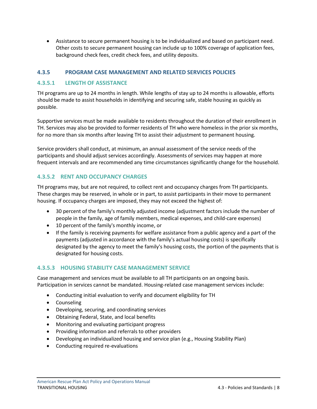• Assistance to secure permanent housing is to be individualized and based on participant need. Other costs to secure permanent housing can include up to 100% coverage of application fees, background check fees, credit check fees, and utility deposits.

## <span id="page-10-0"></span>**4.3.5 PROGRAM CASE MANAGEMENT AND RELATED SERVICES POLICIES**

#### <span id="page-10-1"></span>**4.3.5.1 LENGTH OF ASSISTANCE**

TH programs are up to 24 months in length. While lengths of stay up to 24 months is allowable, efforts should be made to assist households in identifying and securing safe, stable housing as quickly as possible.

Supportive services must be made available to residents throughout the duration of their enrollment in TH. Services may also be provided to former residents of TH who were homeless in the prior six months, for no more than six months after leaving TH to assist their adjustment to permanent housing.

Service providers shall conduct, at minimum, an annual assessment of the service needs of the participants and should adjust services accordingly. Assessments of services may happen at more frequent intervals and are recommended any time circumstances significantly change for the household.

## <span id="page-10-2"></span>**4.3.5.2 RENT AND OCCUPANCY CHARGES**

TH programs may, but are not required, to collect rent and occupancy charges from TH participants. These charges may be reserved, in whole or in part, to assist participants in their move to permanent housing. If occupancy charges are imposed, they may not exceed the highest of:

- 30 percent of the family's monthly adjusted income (adjustment factors include the number of people in the family, age of family members, medical expenses, and child-care expenses)
- 10 percent of the family's monthly income, or
- If the family is receiving payments for welfare assistance from a public agency and a part of the payments (adjusted in accordance with the family's actual housing costs) is specifically designated by the agency to meet the family's housing costs, the portion of the payments that is designated for housing costs.

#### <span id="page-10-3"></span>**4.3.5.3 HOUSING STABILITY CASE MANAGEMENT SERVICE**

Case management and services must be available to all TH participants on an ongoing basis. Participation in services cannot be mandated. Housing-related case management services include:

- Conducting initial evaluation to verify and document eligibility for TH
- Counseling
- Developing, securing, and coordinating services
- Obtaining Federal, State, and local benefits
- Monitoring and evaluating participant progress
- Providing information and referrals to other providers
- Developing an individualized housing and service plan (e.g., Housing Stability Plan)
- Conducting required re-evaluations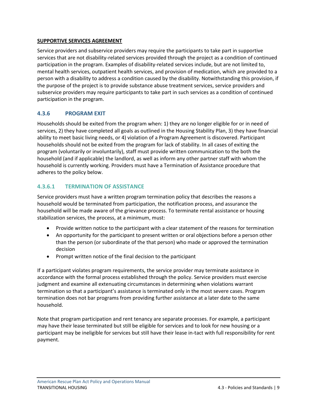#### **SUPPORTIVE SERVICES AGREEMENT**

Service providers and subservice providers may require the participants to take part in supportive services that are not disability-related services provided through the project as a condition of continued participation in the program. Examples of disability-related services include, but are not limited to, mental health services, outpatient health services, and provision of medication, which are provided to a person with a disability to address a condition caused by the disability. Notwithstanding this provision, if the purpose of the project is to provide substance abuse treatment services, service providers and subservice providers may require participants to take part in such services as a condition of continued participation in the program.

## <span id="page-11-0"></span>**4.3.6 PROGRAM EXIT**

Households should be exited from the program when: 1) they are no longer eligible for or in need of services, 2) they have completed all goals as outlined in the Housing Stability Plan, 3) they have financial ability to meet basic living needs, or 4) violation of a Program Agreement is discovered. Participant households should not be exited from the program for lack of stability. In all cases of exiting the program (voluntarily or involuntarily), staff must provide written communication to the both the household (and if applicable) the landlord, as well as inform any other partner staff with whom the household is currently working. Providers must have a Termination of Assistance procedure that adheres to the policy below.

## <span id="page-11-1"></span>**4.3.6.1 TERMINATION OF ASSISTANCE**

Service providers must have a written program termination policy that describes the reasons a household would be terminated from participation, the notification process, and assurance the household will be made aware of the grievance process. To terminate rental assistance or housing stabilization services, the process, at a minimum, must:

- Provide written notice to the participant with a clear statement of the reasons for termination
- An opportunity for the participant to present written or oral objections before a person other than the person (or subordinate of the that person) who made or approved the termination decision
- Prompt written notice of the final decision to the participant

If a participant violates program requirements, the service provider may terminate assistance in accordance with the formal process established through the policy. Service providers must exercise judgment and examine all extenuating circumstances in determining when violations warrant termination so that a participant's assistance is terminated only in the most severe cases. Program termination does not bar programs from providing further assistance at a later date to the same household.

Note that program participation and rent tenancy are separate processes. For example, a participant may have their lease terminated but still be eligible for services and to look for new housing or a participant may be ineligible for services but still have their lease in-tact with full responsibility for rent payment.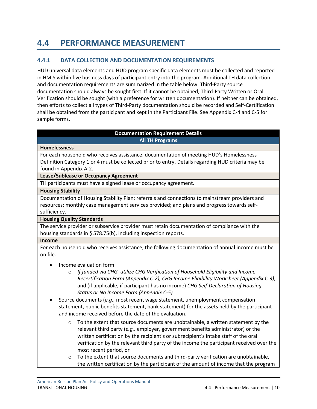# <span id="page-12-0"></span>**4.4 PERFORMANCE MEASUREMENT**

## <span id="page-12-1"></span>**4.4.1 DATA COLLECTION AND DOCUMENTATION REQUIREMENTS**

HUD universal data elements and HUD program specific data elements must be collected and reported in HMIS within five business days of participant entry into the program. Additional TH data collection and documentation requirements are summarized in the table below. Third-Party source documentation should always be sought first. If it cannot be obtained, Third-Party Written or Oral Verification should be sought (with a preference for written documentation). If neither can be obtained, then efforts to collect all types of Third-Party documentation should be recorded and Self-Certification shall be obtained from the participant and kept in the Participant File. See Appendix C-4 and C-5 for sample forms.

#### **Documentation Requirement Details All TH Programs**

#### **Homelessness**

For each household who receives assistance, documentation of meeting HUD's Homelessness Definition Category 1 or 4 must be collected prior to entry. Details regarding HUD criteria may be found in Appendix A-2.

#### **Lease/Sublease or Occupancy Agreement**

TH participants must have a signed lease or occupancy agreement.

#### **Housing Stability**

Documentation of Housing Stability Plan; referrals and connections to mainstream providers and resources; monthly case management services provided; and plans and progress towards selfsufficiency.

#### **Housing Quality Standards**

The service provider or subservice provider must retain documentation of compliance with the housing standards in § 578.75(b), including inspection reports.

#### **Income**

For each household who receives assistance, the following documentation of annual income must be on file.

- Income evaluation form
	- o *If funded via CHG, utilize CHG Verification of Household Eligibility and Income Recertification Form (Appendix C-2), CHG Income Eligibility Worksheet (Appendix C-3),* and (if applicable, if participant has no income) *CHG Self-Declaration of Housing Status or No Income Form (Appendix C-5).*
- Source documents (*e.g.,* most recent wage statement, unemployment compensation statement, public benefits statement, bank statement) for the assets held by the participant and income received before the date of the evaluation.
	- $\circ$  To the extent that source documents are unobtainable, a written statement by the relevant third party (*e.g.,* employer, government benefits administrator) or the written certification by the recipient's or subrecipient's intake staff of the oral verification by the relevant third party of the income the participant received over the most recent period, or
	- $\circ$  To the extent that source documents and third-party verification are unobtainable, the written certification by the participant of the amount of income that the program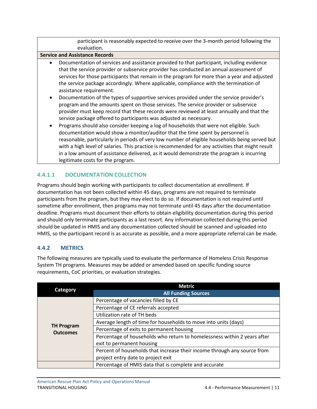participant is reasonably expected to receive over the 3-month period following the evaluation.

#### **Service and Assistance Records**

- Documentation of services and assistance provided to that participant, including evidence that the service provider or subservice provider has conducted an annual assessment of services for those participants that remain in the program for more than a year and adjusted the service package accordingly. Where applicable, compliance with the termination of assistance requirement.
- Documentation of the types of supportive services provided under the service provider's program and the amounts spent on those services. The service provider or subservice provider must keep record that these records were reviewed at least annually and that the service package offered to participants was adjusted as necessary.
- Programs should also consider keeping a log of households that were not eligible. Such documentation would show a monitor/auditor that the time spent by personnel is reasonable, particularly in periods of very low number of eligible households being served but with a high level of salaries. This practice is recommended for any activities that might result in a low amount of assistance delivered, as it would demonstrate the program is incurring legitimate costs for the program.

# <span id="page-13-0"></span>**4.4.1.1 DOCUMENTATION COLLECTION**

Programs should begin working with participants to collect documentation at enrollment. If documentation has not been collected within 45 days, programs are not required to terminate participants from the program, but they may elect to do so. If documentation is not required until sometime after enrollment, then programs may not terminate until 45 days after the documentation deadline. Programs must document their efforts to obtain eligibility documentation during this period and should only terminate participants as a last resort. Any information collected during this period should be updated in HMIS and any documentation collected should be scanned and uploaded into HMIS, so the participant record is as accurate as possible, and a more appropriate referral can be made.

#### <span id="page-13-1"></span>**4.4.2 METRICS**

The following measures are typically used to evaluate the performance of Homeless Crisis Response System TH programs. Measures may be added or amended based on specific funding source requirements, CoC priorities, or evaluation strategies.

|                   | <b>Metric</b>                                                            |
|-------------------|--------------------------------------------------------------------------|
| <b>Category</b>   | <b>All Funding Sources</b>                                               |
|                   | Percentage of vacancies filled by CE                                     |
|                   | Percentage of CE referrals accepted                                      |
|                   | Utilization rate of TH beds                                              |
| <b>TH Program</b> | Average length of time for households to move into units (days)          |
| <b>Outcomes</b>   | Percentage of exits to permanent housing                                 |
|                   | Percentage of households who return to homelessness within 2 years after |
|                   | exit to permanent housing                                                |
|                   | Percent of households that increase their income through any source from |
|                   | project entry date to project exit                                       |
|                   | Percentage of HMIS data that is complete and accurate                    |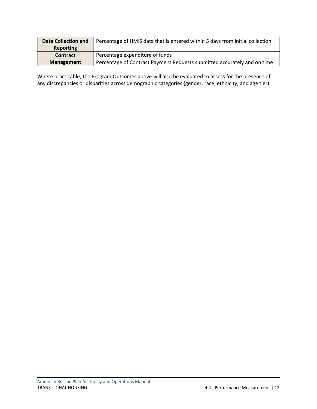| <b>Data Collection and</b> | Percentage of HMIS data that is entered within 5 days from initial collection |
|----------------------------|-------------------------------------------------------------------------------|
| Reporting                  |                                                                               |
| Contract                   | Percentage expenditure of funds                                               |
| <b>Management</b>          | Percentage of Contract Payment Requests submitted accurately and on time      |

Where practicable, the Program Outcomes above will also be evaluated to assess for the presence of any discrepancies or disparities across demographic categories (gender, race, ethnicity, and age tier).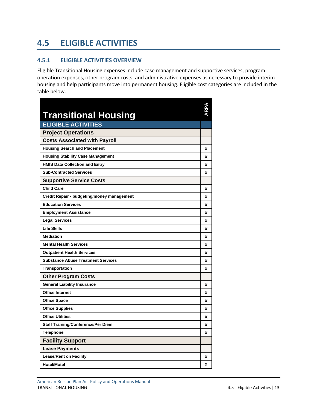# <span id="page-15-0"></span>**4.5 ELIGIBLE ACTIVITIES**

## <span id="page-15-1"></span>**4.5.1 ELIGIBLE ACTIVITIES OVERVIEW**

Eligible Transitional Housing expenses include case management and supportive services, program operation expenses, other program costs, and administrative expenses as necessary to provide interim housing and help participants move into permanent housing. Eligible cost categories are included in the table below.

| <b>Transitional Housing</b>                |   |
|--------------------------------------------|---|
| <b>ELIGIBLE ACTIVITIES</b>                 |   |
| <b>Project Operations</b>                  |   |
| <b>Costs Associated with Payroll</b>       |   |
| <b>Housing Search and Placement</b>        | х |
| <b>Housing Stability Case Management</b>   | x |
| <b>HMIS Data Collection and Entry</b>      | x |
| <b>Sub-Contracted Services</b>             | x |
| <b>Supportive Service Costs</b>            |   |
| <b>Child Care</b>                          | x |
| Credit Repair - budgeting/money management | x |
| <b>Education Services</b>                  | x |
| <b>Employment Assistance</b>               | х |
| <b>Legal Services</b>                      | х |
| <b>Life Skills</b>                         | x |
| <b>Mediation</b>                           | x |
| <b>Mental Health Services</b>              | х |
| <b>Outpatient Health Services</b>          | x |
| <b>Substance Abuse Treatment Services</b>  | x |
| <b>Transportation</b>                      | x |
| <b>Other Program Costs</b>                 |   |
| <b>General Liability Insurance</b>         | x |
| <b>Office Internet</b>                     | x |
| <b>Office Space</b>                        | x |
| <b>Office Supplies</b>                     | x |
| <b>Office Utilities</b>                    | x |
| <b>Staff Training/Conference/Per Diem</b>  | х |
| <b>Telephone</b>                           | x |
| <b>Facility Support</b>                    |   |
| <b>Lease Payments</b>                      |   |
| <b>Lease/Rent on Facility</b>              | х |
| <b>Hotel/Motel</b>                         | x |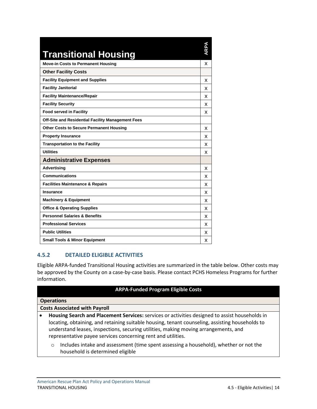| <b>Transitional Housing</b>                       | ARPA |
|---------------------------------------------------|------|
| <b>Move-in Costs to Permanent Housing</b>         | X    |
| <b>Other Facility Costs</b>                       |      |
| <b>Facility Equipment and Supplies</b>            | x    |
| <b>Facility Janitorial</b>                        | x    |
| <b>Facility Maintenance/Repair</b>                | x    |
| <b>Facility Security</b>                          | x    |
| <b>Food served in Facility</b>                    | x    |
| Off-Site and Residential Facility Management Fees |      |
| <b>Other Costs to Secure Permanent Housing</b>    | x    |
| <b>Property Insurance</b>                         | x    |
| <b>Transportation to the Facility</b>             | x    |
| <b>Utilities</b>                                  | x    |
| <b>Administrative Expenses</b>                    |      |
| <b>Advertising</b>                                | x    |
| <b>Communications</b>                             | x    |
| <b>Facilities Maintenance &amp; Repairs</b>       | x    |
| Insurance                                         | x    |
| <b>Machinery &amp; Equipment</b>                  | x    |
| <b>Office &amp; Operating Supplies</b>            | x    |
| <b>Personnel Salaries &amp; Benefits</b>          | x    |
| <b>Professional Services</b>                      | x    |
| <b>Public Utilities</b>                           | x    |
| <b>Small Tools &amp; Minor Equipment</b>          | x    |

# <span id="page-16-0"></span>**4.5.2 DETAILED ELIGIBLE ACTIVITIES**

Eligible ARPA-funded Transitional Housing activities are summarized in the table below. Other costs may be approved by the County on a case-by-case basis. Please contact PCHS Homeless Programs for further information.

#### **ARPA-Funded Program Eligible Costs**

| <b>Operations</b> |  |
|-------------------|--|
|-------------------|--|

- **Housing Search and Placement Services:** services or activities designed to assist households in locating, obtaining, and retaining suitable housing, tenant counseling, assisting households to understand leases, inspections, securing utilities, making moving arrangements, and representative payee services concerning rent and utilities.
	- o Includes intake and assessment (time spent assessing a household), whether or not the household is determined eligible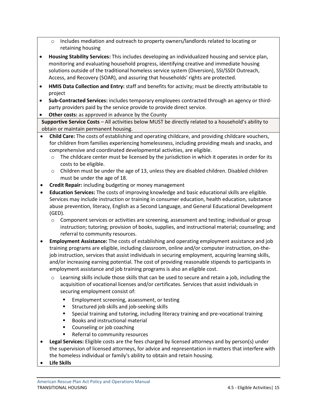- o Includes mediation and outreach to property owners/landlords related to locating or retaining housing
- **Housing Stability Services:** This includes developing an individualized housing and service plan, monitoring and evaluating household progress, identifying creative and immediate housing solutions outside of the traditional homeless service system (Diversion), SSI/SSDI Outreach, Access, and Recovery (SOAR), and assuring that households' rights are protected.
- **HMIS Data Collection and Entry:** staff and benefits for activity; must be directly attributable to project
- **Sub-Contracted Services:** includes temporary employees contracted through an agency or thirdparty providers paid by the service provide to provide direct service.
- **Other costs:** as approved in advance by the County

**Supportive Service Costs** – All activities below MUST be directly related to a household's ability to obtain or maintain permanent housing.

- **Child Care:** The costs of establishing and operating childcare, and providing childcare vouchers, for children from families experiencing homelessness, including providing meals and snacks, and comprehensive and coordinated developmental activities, are eligible.
	- $\circ$  The childcare center must be licensed by the jurisdiction in which it operates in order for its costs to be eligible.
	- o Children must be under the age of 13, unless they are disabled children. Disabled children must be under the age of 18.
- **Credit Repair:** including budgeting or money management
- **Education Services:** The costs of improving knowledge and basic educational skills are eligible. Services may include instruction or training in consumer education, health education, substance abuse prevention, literacy, English as a Second Language, and General Educational Development (GED).
	- o Component services or activities are screening, assessment and testing; individual or group instruction; tutoring; provision of books, supplies, and instructional material; counseling; and referral to community resources.
- **Employment Assistance:** The costs of establishing and operating employment assistance and job training programs are eligible, including classroom, online and/or computer instruction, on-thejob instruction, services that assist individuals in securing employment, acquiring learning skills, and/or increasing earning potential. The cost of providing reasonable stipends to participants in employment assistance and job training programs is also an eligible cost.
	- o Learning skills include those skills that can be used to secure and retain a job, including the acquisition of vocational licenses and/or certificates. Services that assist individuals in securing employment consist of:
		- Employment screening, assessment, or testing
		- Structured job skills and job-seeking skills
		- Special training and tutoring, including literacy training and pre-vocational training
		- Books and instructional material
		- Counseling or job coaching
		- Referral to community resources
- **Legal Services:** Eligible costs are the fees charged by licensed attorneys and by person(s) under the supervision of licensed attorneys, for advice and representation in matters that interfere with the homeless individual or family's ability to obtain and retain housing.
- **Life Skills**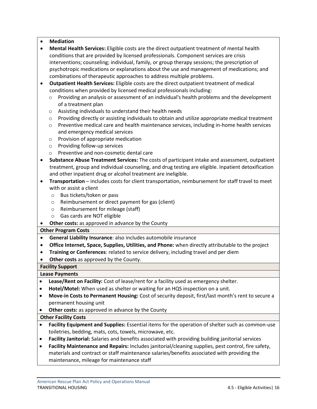#### • **Mediation**

- **Mental Health Services:** Eligible costs are the direct outpatient treatment of mental health conditions that are provided by licensed professionals. Component services are crisis interventions; counseling; individual, family, or group therapy sessions; the prescription of psychotropic medications or explanations about the use and management of medications; and combinations of therapeutic approaches to address multiple problems.
- **Outpatient Health Services:** Eligible costs are the direct outpatient treatment of medical conditions when provided by licensed medical professionals including:
	- $\circ$  Providing an analysis or assessment of an individual's health problems and the development of a treatment plan
	- o Assisting individuals to understand their health needs
	- $\circ$  Providing directly or assisting individuals to obtain and utilize appropriate medical treatment
	- o Preventive medical care and health maintenance services, including in-home health services and emergency medical services
	- o Provision of appropriate medication
	- o Providing follow-up services
	- o Preventive and non-cosmetic dental care
- **Substance Abuse Treatment Services:** The costs of participant intake and assessment, outpatient treatment, group and individual counseling, and drug testing are eligible. Inpatient detoxification and other inpatient drug or alcohol treatment are ineligible.
- **Transportation** includes costs for client transportation, reimbursement for staff travel to meet with or assist a client
	- o Bus tickets/token or pass
	- o Reimbursement or direct payment for gas (client)
	- o Reimbursement for mileage (staff)
	- o Gas cards are NOT eligible
- **Other costs:** as approved in advance by the County

#### **Other Program Costs**

- **General Liability Insurance**: also includes automobile insurance
- **Office Internet, Space, Supplies, Utilities, and Phone:** when directly attributable to the project
- **Training or Conferences**: related to service delivery, including travel and per diem
- **Other costs** as approved by the County.

#### **Facility Support**

#### **Lease Payments**

- **Lease/Rent on Facility:** Cost of lease/rent for a facility used as emergency shelter.
- **Hotel/Motel:** When used as shelter or waiting for an HQS inspection on a unit.
- **Move-in Costs to Permanent Housing:** Cost of security deposit, first/last month's rent to secure a permanent housing unit
- **Other costs:** as approved in advance by the County

#### **Other Facility Costs**

- **Facility Equipment and Supplies:** Essential items for the operation of shelter such as common-use toiletries, bedding, mats, cots, towels, microwave, etc.
- **Facility Janitorial:** Salaries and benefits associated with providing building janitorial services
- **Facility Maintenance and Repairs:** Includes janitorial/cleaning supplies, pest control, fire safety, materials and contract or staff maintenance salaries/benefits associated with providing the maintenance, mileage for maintenance staff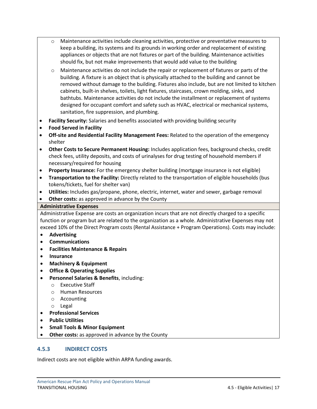- o Maintenance activities include cleaning activities, protective or preventative measures to keep a building, its systems and its grounds in working order and replacement of existing appliances or objects that are not fixtures or part of the building. Maintenance activities should fix, but not make improvements that would add value to the building
- o Maintenance activities do not include the repair or replacement of fixtures or parts of the building. A fixture is an object that is physically attached to the building and cannot be removed without damage to the building. Fixtures also include, but are not limited to kitchen cabinets, built-in shelves, toilets, light fixtures, staircases, crown molding, sinks, and bathtubs. Maintenance activities do not include the installment or replacement of systems designed for occupant comfort and safety such as HVAC, electrical or mechanical systems, sanitation, fire suppression, and plumbing.
- **Facility Security:** Salaries and benefits associated with providing building security
- **Food Served in Facility**
- **Off-site and Residential Facility Management Fees:** Related to the operation of the emergency shelter
- **Other Costs to Secure Permanent Housing:** Includes application fees, background checks, credit check fees, utility deposits, and costs of urinalyses for drug testing of household members if necessary/required for housing
- **Property Insurance:** For the emergency shelter building (mortgage insurance is not eligible)
- **Transportation to the Facility:** Directly related to the transportation of eligible households (bus tokens/tickets, fuel for shelter van)
- **Utilities:** Includes gas/propane, phone, electric, internet, water and sewer, garbage removal
- **Other costs:** as approved in advance by the County

#### **Administrative Expenses**

Administrative Expense are costs an organization incurs that are not directly charged to a specific function or program but are related to the organization as a whole. Administrative Expenses may not exceed 10% of the Direct Program costs (Rental Assistance + Program Operations). Costs may include:

- **Advertising**
- **Communications**
- **Facilities Maintenance & Repairs**
- **Insurance**
- **Machinery & Equipment**
- **Office & Operating Supplies**
- **Personnel Salaries & Benefits**, including:
	- o Executive Staff
	- o Human Resources
	- o Accounting
	- o Legal
- **Professional Services**
- **Public Utilities**
- **Small Tools & Minor Equipment**
- **Other costs:** as approved in advance by the County

#### <span id="page-19-0"></span>**4.5.3 INDIRECT COSTS**

Indirect costs are not eligible within ARPA funding awards.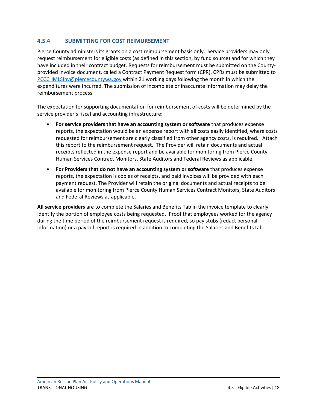# <span id="page-20-0"></span>**4.5.4 SUBMITTING FOR COST REIMURSEMENT**

Pierce County administers its grants on a cost reimbursement basis only. Service providers may only request reimbursement for eligible costs (as defined in this section, by fund source) and for which they have included in their contract budget. Requests for reimbursement must be submitted on the Countyprovided invoice document, called a Contract Payment Request form (CPR). CPRs must be submitted to [PCCCHMLSInv@piercecountywa.gov](mailto:PCCCHMLSInv@piercecountywa.gov) within 21 working days following the month in which the expenditures were incurred. The submission of incomplete or inaccurate information may delay the reimbursement process.

The expectation for supporting documentation for reimbursement of costs will be determined by the service provider's fiscal and accounting infrastructure:

- **For service providers that have an accounting system or software** that produces expense reports, the expectation would be an expense report with all costs easily identified, where costs requested for reimbursement are clearly classified from other agency costs, is required. Attach this report to the reimbursement request. The Provider will retain documents and actual receipts reflected in the expense report and be available for monitoring from Pierce County Human Services Contract Monitors, State Auditors and Federal Reviews as applicable.
- **For Providers that do not have an accounting system or software** that produces expense reports, the expectation is copies of receipts, and paid invoices will be provided with each payment request. The Provider will retain the original documents and actual receipts to be available for monitoring from Pierce County Human Services Contract Monitors, State Auditors and Federal Reviews as applicable.

**All service providers** are to complete the Salaries and Benefits Tab in the invoice template to clearly identify the portion of employee costs being requested. Proof that employees worked for the agency during the time period of the reimbursement request is required, so pay stubs (redact personal information) or a payroll report is required in addition to completing the Salaries and Benefits tab.